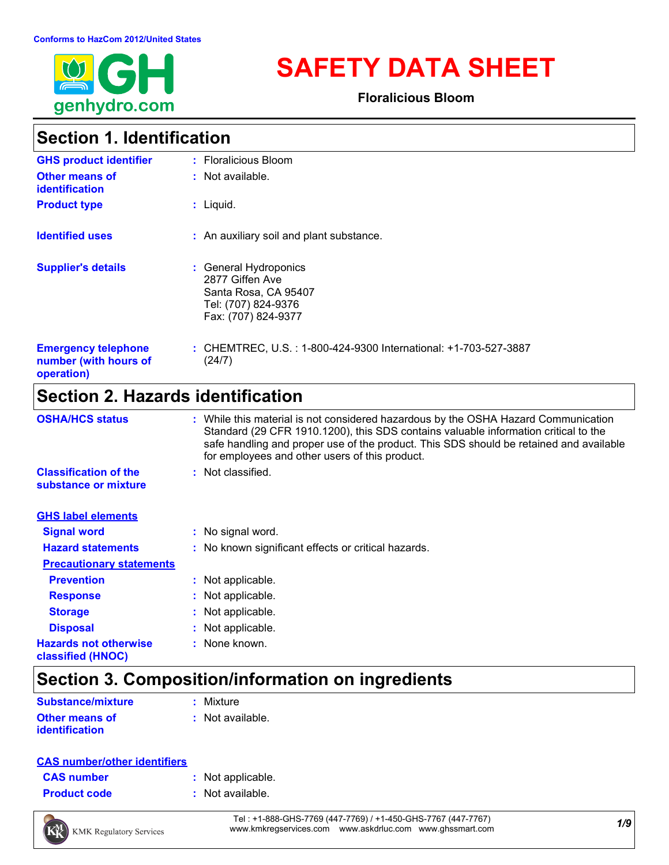

# **SAFETY DATA SHEET**

**Floralicious Bloom**

## **Section 1. Identification**

| <b>GHS product identifier</b>                                     | : Floralicious Bloom                                                                                           |
|-------------------------------------------------------------------|----------------------------------------------------------------------------------------------------------------|
| <b>Other means of</b><br><b>identification</b>                    | $:$ Not available.                                                                                             |
| <b>Product type</b>                                               | $:$ Liquid.                                                                                                    |
| <b>Identified uses</b>                                            | : An auxiliary soil and plant substance.                                                                       |
| <b>Supplier's details</b>                                         | : General Hydroponics<br>2877 Giffen Ave<br>Santa Rosa, CA 95407<br>Tel: (707) 824-9376<br>Fax: (707) 824-9377 |
| <b>Emergency telephone</b><br>number (with hours of<br>operation) | : CHEMTREC, U.S. : 1-800-424-9300 International: +1-703-527-3887<br>(24/7)                                     |

## **Section 2. Hazards identification**

| <b>OSHA/HCS status</b>                               | : While this material is not considered hazardous by the OSHA Hazard Communication<br>Standard (29 CFR 1910.1200), this SDS contains valuable information critical to the<br>safe handling and proper use of the product. This SDS should be retained and available<br>for employees and other users of this product. |
|------------------------------------------------------|-----------------------------------------------------------------------------------------------------------------------------------------------------------------------------------------------------------------------------------------------------------------------------------------------------------------------|
| <b>Classification of the</b><br>substance or mixture | : Not classified.                                                                                                                                                                                                                                                                                                     |
| <b>GHS label elements</b>                            |                                                                                                                                                                                                                                                                                                                       |
| <b>Signal word</b>                                   | : No signal word.                                                                                                                                                                                                                                                                                                     |
| <b>Hazard statements</b>                             | : No known significant effects or critical hazards.                                                                                                                                                                                                                                                                   |
| <b>Precautionary statements</b>                      |                                                                                                                                                                                                                                                                                                                       |
| <b>Prevention</b>                                    | : Not applicable.                                                                                                                                                                                                                                                                                                     |
| <b>Response</b>                                      | : Not applicable.                                                                                                                                                                                                                                                                                                     |
| <b>Storage</b>                                       | : Not applicable.                                                                                                                                                                                                                                                                                                     |
| <b>Disposal</b>                                      | : Not applicable.                                                                                                                                                                                                                                                                                                     |
| <b>Hazards not otherwise</b><br>classified (HNOC)    | : None known.                                                                                                                                                                                                                                                                                                         |

## **Section 3. Composition/information on ingredients**

| <b>Substance/mixture</b> | : Mixture        |
|--------------------------|------------------|
| <b>Other means of</b>    | : Not available. |
| <i>identification</i>    |                  |

#### **CAS number/other identifiers**

| <b>CAS number</b> |  |
|-------------------|--|
|                   |  |

- **:** Not applicable.
- **Product code :** Not available.



*1/9* Tel : +1-888-GHS-7769 (447-7769) / +1-450-GHS-7767 (447-7767) www.kmkregservices.com www.askdrluc.com www.ghssmart.com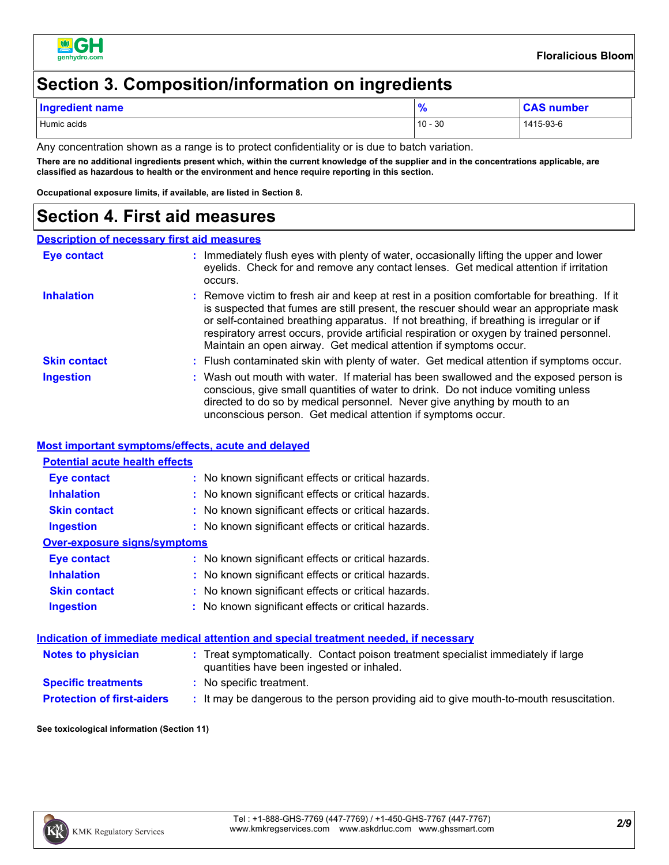

#### **Section 3. Composition/information on ingredients**

| Ingredient name | $\frac{9}{6}$ | <b>CAS number</b> |
|-----------------|---------------|-------------------|
| Humic acids     | $10 - 30$     | 1415-93-6         |

Any concentration shown as a range is to protect confidentiality or is due to batch variation.

**There are no additional ingredients present which, within the current knowledge of the supplier and in the concentrations applicable, are classified as hazardous to health or the environment and hence require reporting in this section.**

**Occupational exposure limits, if available, are listed in Section 8.**

#### **Section 4. First aid measures**

#### **Description of necessary first aid measures**

| <b>Eye contact</b>  | Immediately flush eyes with plenty of water, occasionally lifting the upper and lower<br>eyelids. Check for and remove any contact lenses. Get medical attention if irritation<br>occurs.                                                                                                                                                                                                                                                            |
|---------------------|------------------------------------------------------------------------------------------------------------------------------------------------------------------------------------------------------------------------------------------------------------------------------------------------------------------------------------------------------------------------------------------------------------------------------------------------------|
| <b>Inhalation</b>   | : Remove victim to fresh air and keep at rest in a position comfortable for breathing. If it<br>is suspected that fumes are still present, the rescuer should wear an appropriate mask<br>or self-contained breathing apparatus. If not breathing, if breathing is irregular or if<br>respiratory arrest occurs, provide artificial respiration or oxygen by trained personnel.<br>Maintain an open airway. Get medical attention if symptoms occur. |
| <b>Skin contact</b> | : Flush contaminated skin with plenty of water. Get medical attention if symptoms occur.                                                                                                                                                                                                                                                                                                                                                             |
| <b>Ingestion</b>    | Wash out mouth with water. If material has been swallowed and the exposed person is<br>conscious, give small quantities of water to drink. Do not induce vomiting unless<br>directed to do so by medical personnel. Never give anything by mouth to an<br>unconscious person. Get medical attention if symptoms occur.                                                                                                                               |

#### **Most important symptoms/effects, acute and delayed**

| <b>Potential acute health effects</b> |                                                                                             |
|---------------------------------------|---------------------------------------------------------------------------------------------|
| Eye contact                           | : No known significant effects or critical hazards.                                         |
| <b>Inhalation</b>                     | : No known significant effects or critical hazards.                                         |
| <b>Skin contact</b>                   | : No known significant effects or critical hazards.                                         |
| Ingestion                             | : No known significant effects or critical hazards.                                         |
| <b>Over-exposure signs/symptoms</b>   |                                                                                             |
| <b>Eye contact</b>                    | : No known significant effects or critical hazards.                                         |
| <b>Inhalation</b>                     | : No known significant effects or critical hazards.                                         |
| <b>Skin contact</b>                   | : No known significant effects or critical hazards.                                         |
| <b>Ingestion</b>                      | : No known significant effects or critical hazards.                                         |
|                                       |                                                                                             |
|                                       | <u>Indication of immediate medical attention and special treatment needed, if necessary</u> |

| <b>Notes to physician</b>         | : Treat symptomatically. Contact poison treatment specialist immediately if large<br>quantities have been ingested or inhaled. |
|-----------------------------------|--------------------------------------------------------------------------------------------------------------------------------|
| <b>Specific treatments</b>        | : No specific treatment.                                                                                                       |
| <b>Protection of first-aiders</b> | It may be dangerous to the person providing aid to give mouth-to-mouth resuscitation.                                          |

#### **See toxicological information (Section 11)**

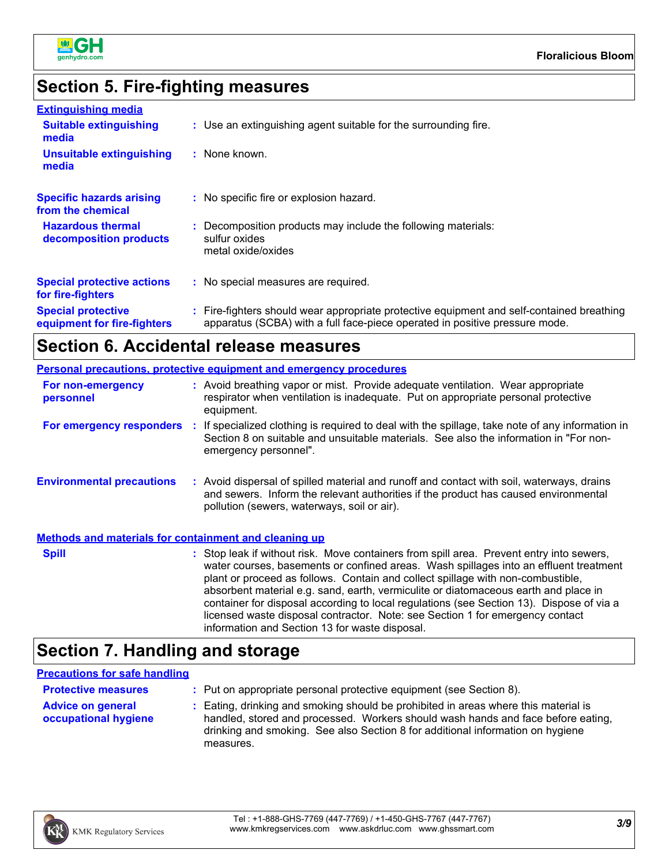

#### **Section 5. Fire-fighting measures**

| <b>Extinguishing media</b>                               |                                                                                                                                                                          |
|----------------------------------------------------------|--------------------------------------------------------------------------------------------------------------------------------------------------------------------------|
| <b>Suitable extinguishing</b><br>media                   | : Use an extinguishing agent suitable for the surrounding fire.                                                                                                          |
| <b>Unsuitable extinguishing</b><br>media                 | : None known.                                                                                                                                                            |
| <b>Specific hazards arising</b><br>from the chemical     | : No specific fire or explosion hazard.                                                                                                                                  |
| <b>Hazardous thermal</b><br>decomposition products       | : Decomposition products may include the following materials:<br>sulfur oxides<br>metal oxide/oxides                                                                     |
| <b>Special protective actions</b><br>for fire-fighters   | : No special measures are required.                                                                                                                                      |
| <b>Special protective</b><br>equipment for fire-fighters | : Fire-fighters should wear appropriate protective equipment and self-contained breathing<br>apparatus (SCBA) with a full face-piece operated in positive pressure mode. |

#### **Section 6. Accidental release measures**

#### **Environmental precautions Personal precautions, protective equipment and emergency procedures :** Avoid dispersal of spilled material and runoff and contact with soil, waterways, drains **:** Avoid breathing vapor or mist. Provide adequate ventilation. Wear appropriate respirator when ventilation is inadequate. Put on appropriate personal protective equipment. and sewers. Inform the relevant authorities if the product has caused environmental pollution (sewers, waterways, soil or air). **Methods and materials for containment and cleaning up For non-emergency personnel For emergency responders :** If specialized clothing is required to deal with the spillage, take note of any information in Section 8 on suitable and unsuitable materials. See also the information in "For nonemergency personnel". **Spill** Stop leak if without risk. Move containers from spill area. Prevent entry into sewers, water courses, basements or confined areas. Wash spillages into an effluent treatment plant or proceed as follows. Contain and collect spillage with non-combustible, absorbent material e.g. sand, earth, vermiculite or diatomaceous earth and place in container for disposal according to local regulations (see Section 13). Dispose of via a

## **Section 7. Handling and storage**

#### **Precautions for safe handling**

| <b>Protective measures</b>                       | : Put on appropriate personal protective equipment (see Section 8).                                                                                                                                                                                                    |
|--------------------------------------------------|------------------------------------------------------------------------------------------------------------------------------------------------------------------------------------------------------------------------------------------------------------------------|
| <b>Advice on general</b><br>occupational hygiene | : Eating, drinking and smoking should be prohibited in areas where this material is<br>handled, stored and processed. Workers should wash hands and face before eating,<br>drinking and smoking. See also Section 8 for additional information on hygiene<br>measures. |

information and Section 13 for waste disposal.

licensed waste disposal contractor. Note: see Section 1 for emergency contact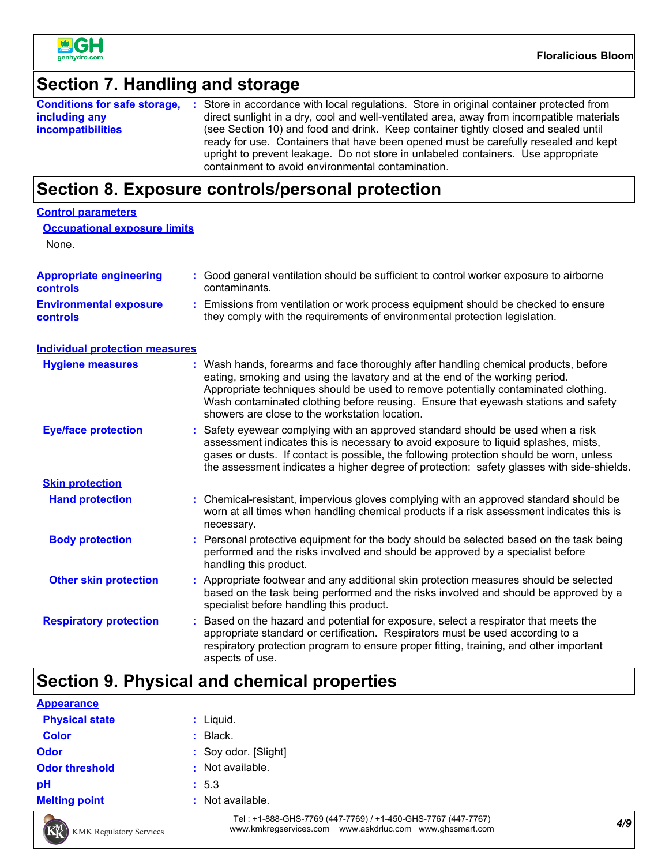

## **Section 7. Handling and storage**

|                          | <b>Conditions for safe storage, :</b> Store in accordance with local regulations. Store in original container protected from                                                                                                                                                                                         |  |
|--------------------------|----------------------------------------------------------------------------------------------------------------------------------------------------------------------------------------------------------------------------------------------------------------------------------------------------------------------|--|
| including any            | direct sunlight in a dry, cool and well-ventilated area, away from incompatible materials                                                                                                                                                                                                                            |  |
| <b>incompatibilities</b> | (see Section 10) and food and drink. Keep container tightly closed and sealed until<br>ready for use. Containers that have been opened must be carefully resealed and kept<br>upright to prevent leakage. Do not store in unlabeled containers. Use appropriate<br>containment to avoid environmental contamination. |  |

## **Section 8. Exposure controls/personal protection**

| <b>Control parameters</b>                  |                                                                                                                                                                                                                                                                                                                                                                                                 |
|--------------------------------------------|-------------------------------------------------------------------------------------------------------------------------------------------------------------------------------------------------------------------------------------------------------------------------------------------------------------------------------------------------------------------------------------------------|
| <b>Occupational exposure limits</b>        |                                                                                                                                                                                                                                                                                                                                                                                                 |
| None.                                      |                                                                                                                                                                                                                                                                                                                                                                                                 |
| <b>Appropriate engineering</b><br>controls | : Good general ventilation should be sufficient to control worker exposure to airborne<br>contaminants.                                                                                                                                                                                                                                                                                         |
| <b>Environmental exposure</b><br>controls  | : Emissions from ventilation or work process equipment should be checked to ensure<br>they comply with the requirements of environmental protection legislation.                                                                                                                                                                                                                                |
| <b>Individual protection measures</b>      |                                                                                                                                                                                                                                                                                                                                                                                                 |
| <b>Hygiene measures</b>                    | Wash hands, forearms and face thoroughly after handling chemical products, before<br>eating, smoking and using the lavatory and at the end of the working period.<br>Appropriate techniques should be used to remove potentially contaminated clothing.<br>Wash contaminated clothing before reusing. Ensure that eyewash stations and safety<br>showers are close to the workstation location. |
| <b>Eye/face protection</b>                 | Safety eyewear complying with an approved standard should be used when a risk<br>assessment indicates this is necessary to avoid exposure to liquid splashes, mists,<br>gases or dusts. If contact is possible, the following protection should be worn, unless<br>the assessment indicates a higher degree of protection: safety glasses with side-shields.                                    |
| <b>Skin protection</b>                     |                                                                                                                                                                                                                                                                                                                                                                                                 |
| <b>Hand protection</b>                     | : Chemical-resistant, impervious gloves complying with an approved standard should be<br>worn at all times when handling chemical products if a risk assessment indicates this is<br>necessary.                                                                                                                                                                                                 |
| <b>Body protection</b>                     | Personal protective equipment for the body should be selected based on the task being<br>t.<br>performed and the risks involved and should be approved by a specialist before<br>handling this product.                                                                                                                                                                                         |
| <b>Other skin protection</b>               | Appropriate footwear and any additional skin protection measures should be selected<br>t.<br>based on the task being performed and the risks involved and should be approved by a<br>specialist before handling this product.                                                                                                                                                                   |
| <b>Respiratory protection</b>              | Based on the hazard and potential for exposure, select a respirator that meets the<br>t.<br>appropriate standard or certification. Respirators must be used according to a<br>respiratory protection program to ensure proper fitting, training, and other important<br>aspects of use.                                                                                                         |

## **Section 9. Physical and chemical properties**

| <b>Odor threshold</b><br>pH<br>: 5.3<br><b>Melting point</b><br>Not available.<br>Æ. |  |
|--------------------------------------------------------------------------------------|--|
|                                                                                      |  |
|                                                                                      |  |
| : Not available.                                                                     |  |
| <b>Odor</b><br>: Soy odor. [Slight]                                                  |  |
| <b>Color</b><br>Black.                                                               |  |
| <b>Physical state</b><br>Liquid.<br>÷.                                               |  |
| <b>Appearance</b>                                                                    |  |



*4/9* Tel : +1-888-GHS-7769 (447-7769) / +1-450-GHS-7767 (447-7767) www.kmkregservices.com www.askdrluc.com www.ghssmart.com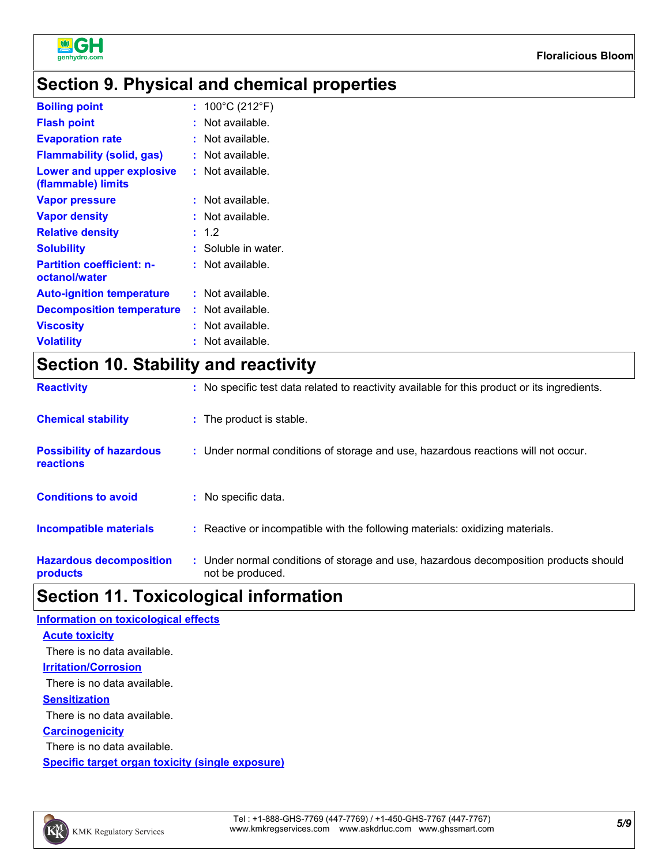

## **Section 9. Physical and chemical properties**

| : $100^{\circ}$ C (212 $^{\circ}$ F)<br><b>Boiling point</b><br>$:$ Not available.<br><b>Flash point</b><br><b>Evaporation rate</b><br>: Not available.<br><b>Flammability (solid, gas)</b><br>: Not available.<br>$:$ Not available.<br>Lower and upper explosive<br>(flammable) limits |
|------------------------------------------------------------------------------------------------------------------------------------------------------------------------------------------------------------------------------------------------------------------------------------------|
|                                                                                                                                                                                                                                                                                          |
|                                                                                                                                                                                                                                                                                          |
|                                                                                                                                                                                                                                                                                          |
|                                                                                                                                                                                                                                                                                          |
|                                                                                                                                                                                                                                                                                          |
| $:$ Not available.<br><b>Vapor pressure</b>                                                                                                                                                                                                                                              |
| <b>Vapor density</b><br>: Not available.                                                                                                                                                                                                                                                 |
| <b>Relative density</b><br>: 1.2                                                                                                                                                                                                                                                         |
| : Soluble in water.<br><b>Solubility</b>                                                                                                                                                                                                                                                 |
| <b>Partition coefficient: n-</b><br>$:$ Not available.<br>octanol/water                                                                                                                                                                                                                  |
| $:$ Not available.<br><b>Auto-ignition temperature</b>                                                                                                                                                                                                                                   |
| $:$ Not available.<br><b>Decomposition temperature</b>                                                                                                                                                                                                                                   |
| : Not available.<br><b>Viscosity</b>                                                                                                                                                                                                                                                     |
| <b>Volatility</b><br>Not available.                                                                                                                                                                                                                                                      |

## **Section 10. Stability and reactivity**

| <b>Reactivity</b>                                   | : No specific test data related to reactivity available for this product or its ingredients.              |
|-----------------------------------------------------|-----------------------------------------------------------------------------------------------------------|
| <b>Chemical stability</b>                           | : The product is stable.                                                                                  |
| <b>Possibility of hazardous</b><br><b>reactions</b> | : Under normal conditions of storage and use, hazardous reactions will not occur.                         |
| <b>Conditions to avoid</b>                          | : No specific data.                                                                                       |
| <b>Incompatible materials</b>                       | : Reactive or incompatible with the following materials: oxidizing materials.                             |
| <b>Hazardous decomposition</b><br>products          | : Under normal conditions of storage and use, hazardous decomposition products should<br>not be produced. |

## **Section 11. Toxicological information**

| <b>Information on toxicological effects</b>      |
|--------------------------------------------------|
| <b>Acute toxicity</b>                            |
| There is no data available.                      |
| <b>Irritation/Corrosion</b>                      |
| There is no data available.                      |
| <b>Sensitization</b>                             |
| There is no data available.                      |
| <b>Carcinogenicity</b>                           |
| There is no data available.                      |
| Specific target organ toxicity (single exposure) |

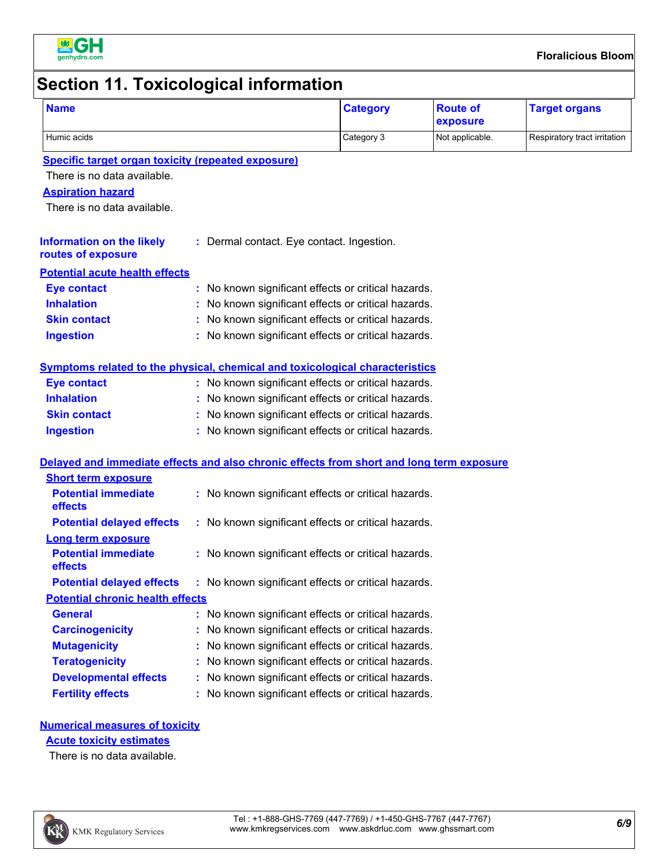

## **Section 11. Toxicological information**

| <b>Name</b>                                                                              |                                                     | <b>Category</b> | <b>Route of</b><br>exposure | <b>Target organs</b>         |
|------------------------------------------------------------------------------------------|-----------------------------------------------------|-----------------|-----------------------------|------------------------------|
| Humic acids                                                                              |                                                     | Category 3      | Not applicable.             | Respiratory tract irritation |
| <b>Specific target organ toxicity (repeated exposure)</b>                                |                                                     |                 |                             |                              |
| There is no data available.                                                              |                                                     |                 |                             |                              |
| <b>Aspiration hazard</b>                                                                 |                                                     |                 |                             |                              |
| There is no data available.                                                              |                                                     |                 |                             |                              |
| <b>Information on the likely</b><br>routes of exposure                                   | : Dermal contact. Eye contact. Ingestion.           |                 |                             |                              |
| <b>Potential acute health effects</b>                                                    |                                                     |                 |                             |                              |
| <b>Eye contact</b>                                                                       | : No known significant effects or critical hazards. |                 |                             |                              |
| <b>Inhalation</b>                                                                        | : No known significant effects or critical hazards. |                 |                             |                              |
| <b>Skin contact</b>                                                                      | : No known significant effects or critical hazards. |                 |                             |                              |
| <b>Ingestion</b>                                                                         | : No known significant effects or critical hazards. |                 |                             |                              |
| Symptoms related to the physical, chemical and toxicological characteristics             |                                                     |                 |                             |                              |
| <b>Eye contact</b>                                                                       | : No known significant effects or critical hazards. |                 |                             |                              |
| <b>Inhalation</b>                                                                        | : No known significant effects or critical hazards. |                 |                             |                              |
| <b>Skin contact</b>                                                                      | : No known significant effects or critical hazards. |                 |                             |                              |
| <b>Ingestion</b>                                                                         | : No known significant effects or critical hazards. |                 |                             |                              |
| Delayed and immediate effects and also chronic effects from short and long term exposure |                                                     |                 |                             |                              |
| <b>Short term exposure</b>                                                               |                                                     |                 |                             |                              |
| <b>Potential immediate</b><br>effects                                                    | : No known significant effects or critical hazards. |                 |                             |                              |
| <b>Potential delayed effects</b>                                                         | : No known significant effects or critical hazards. |                 |                             |                              |
| Long term exposure                                                                       |                                                     |                 |                             |                              |
| <b>Potential immediate</b><br>effects                                                    | : No known significant effects or critical hazards. |                 |                             |                              |
| <b>Potential delayed effects :</b> No known significant effects or critical hazards.     |                                                     |                 |                             |                              |
| <b>Potential chronic health effects</b>                                                  |                                                     |                 |                             |                              |
| <b>General</b>                                                                           | : No known significant effects or critical hazards. |                 |                             |                              |
| <b>Carcinogenicity</b>                                                                   | : No known significant effects or critical hazards. |                 |                             |                              |
| <b>Mutagenicity</b>                                                                      | : No known significant effects or critical hazards. |                 |                             |                              |
| <b>Teratogenicity</b>                                                                    | : No known significant effects or critical hazards. |                 |                             |                              |
| <b>Developmental effects</b>                                                             | : No known significant effects or critical hazards. |                 |                             |                              |
| <b>Fertility effects</b>                                                                 | : No known significant effects or critical hazards. |                 |                             |                              |
| <b>Numerical measures of toxicity</b>                                                    |                                                     |                 |                             |                              |
| <b>Acute toxicity estimates</b>                                                          |                                                     |                 |                             |                              |
| Alahara is no data availahla                                                             |                                                     |                 |                             |                              |

I here is no data available.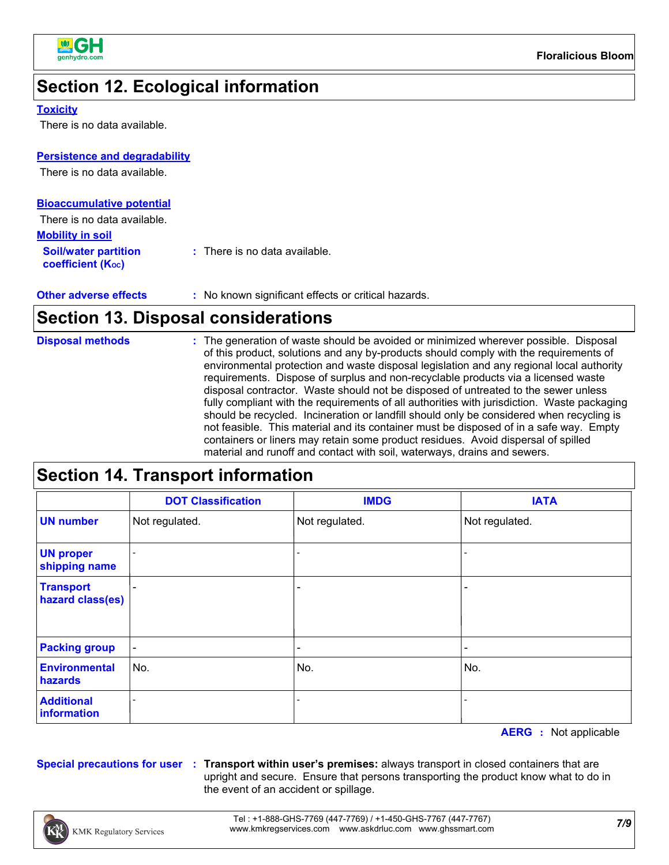

## **Section 12. Ecological information**

#### **Toxicity**

There is no data available.

#### **Persistence and degradability**

There is no data available.

**coefficient (KOC)**

| <b>Bioaccumulative potential</b> |                                          |
|----------------------------------|------------------------------------------|
| There is no data available.      |                                          |
| <b>Mobility in soil</b>          |                                          |
| <b>Soil/water partition</b>      | $\therefore$ There is no data available. |

| <b>Other adverse effects</b> | : No known significant effects or critical hazards. |
|------------------------------|-----------------------------------------------------|
|------------------------------|-----------------------------------------------------|

#### **Section 13. Disposal considerations**

## **Section 14. Transport information**

|                                      | <b>DOT Classification</b> | <b>IMDG</b>              | <b>IATA</b>                  |
|--------------------------------------|---------------------------|--------------------------|------------------------------|
| <b>UN number</b>                     | Not regulated.            | Not regulated.           | Not regulated.               |
| <b>UN proper</b><br>shipping name    |                           |                          |                              |
| <b>Transport</b><br>hazard class(es) | $\overline{\phantom{0}}$  |                          | $\qquad \qquad \blacksquare$ |
| <b>Packing group</b>                 | $\blacksquare$            | $\overline{\phantom{0}}$ | $\qquad \qquad \blacksquare$ |
| <b>Environmental</b><br>hazards      | No.                       | No.                      | No.                          |
| <b>Additional</b><br>information     |                           |                          |                              |

**AERG :** Not applicable

**Special precautions for user Transport within user's premises:** always transport in closed containers that are **:** upright and secure. Ensure that persons transporting the product know what to do in the event of an accident or spillage.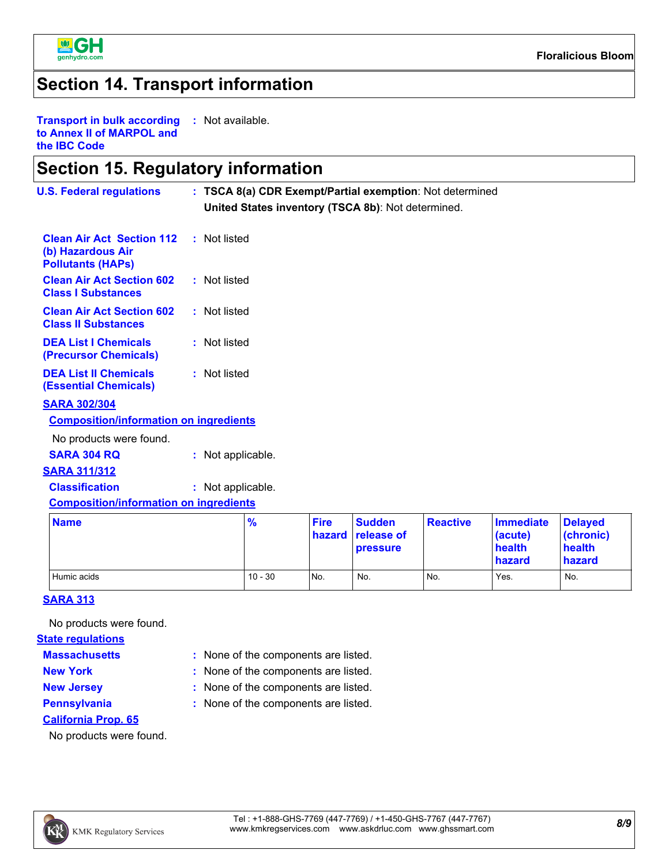

#### **Section 14. Transport information**

**Transport in bulk according to Annex II of MARPOL and the IBC Code :** Not available.

#### **Section 15. Regulatory information**

| <b>U.S. Federal regulations</b>                                                   | : TSCA 8(a) CDR Exempt/Partial exemption: Not determined<br>United States inventory (TSCA 8b): Not determined. |                       |                             |                 |                                            |                                                       |
|-----------------------------------------------------------------------------------|----------------------------------------------------------------------------------------------------------------|-----------------------|-----------------------------|-----------------|--------------------------------------------|-------------------------------------------------------|
| <b>Clean Air Act Section 112</b><br>(b) Hazardous Air<br><b>Pollutants (HAPS)</b> | : Not listed                                                                                                   |                       |                             |                 |                                            |                                                       |
| <b>Clean Air Act Section 602</b><br><b>Class I Substances</b>                     | : Not listed                                                                                                   |                       |                             |                 |                                            |                                                       |
| <b>Clean Air Act Section 602</b><br><b>Class II Substances</b>                    | : Not listed                                                                                                   |                       |                             |                 |                                            |                                                       |
| <b>DEA List I Chemicals</b><br>(Precursor Chemicals)                              | : Not listed                                                                                                   |                       |                             |                 |                                            |                                                       |
| <b>DEA List II Chemicals</b><br><b>(Essential Chemicals)</b>                      | : Not listed                                                                                                   |                       |                             |                 |                                            |                                                       |
| <b>SARA 302/304</b>                                                               |                                                                                                                |                       |                             |                 |                                            |                                                       |
| <b>Composition/information on ingredients</b>                                     |                                                                                                                |                       |                             |                 |                                            |                                                       |
| No products were found.                                                           |                                                                                                                |                       |                             |                 |                                            |                                                       |
| <b>SARA 304 RQ</b>                                                                | : Not applicable.                                                                                              |                       |                             |                 |                                            |                                                       |
| <b>SARA 311/312</b>                                                               |                                                                                                                |                       |                             |                 |                                            |                                                       |
| <b>Classification</b>                                                             | : Not applicable.                                                                                              |                       |                             |                 |                                            |                                                       |
| <b>Composition/information on ingredients</b>                                     |                                                                                                                |                       |                             |                 |                                            |                                                       |
| <b>Name</b>                                                                       | %                                                                                                              | <b>Fire</b><br>hazard | <b>Sudden</b><br>release of | <b>Reactive</b> | <b>Immediate</b><br>(acute)<br>$\sim 1000$ | <b>Delayed</b><br>(chronic)<br>$\sim$ 100 MHz $^{-1}$ |

| $\blacksquare$ | 70        | 11 II G | <b>PODDO DI</b><br>hazard release of<br><b>pressure</b> | <b>INGACHYG</b> | <b>HILLICARG</b><br>(acute)<br>health<br>hazard | <b>Pelayeu</b><br>(chronic)<br>health<br>hazard |
|----------------|-----------|---------|---------------------------------------------------------|-----------------|-------------------------------------------------|-------------------------------------------------|
| Humic acids    | $10 - 30$ | No.     | No.                                                     | No.             | Yes.                                            | No.                                             |

#### **SARA 313**

No products were found.

#### **State regulations**

**Massachusetts**

- 
- 
- 
- None of the components are listed. **:**
- **New York :** None of the components are listed.
- 
- 
- **New Jersey :** None of the components are listed.
	-
- **Pennsylvania :** None of the components are listed.
- **California Prop. 65**

No products were found.